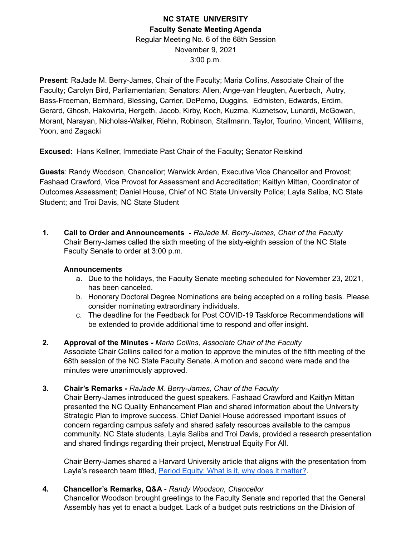# **NC STATE UNIVERSITY Faculty Senate Meeting Agenda** Regular Meeting No. 6 of the 68th Session November 9, 2021 3:00 p.m.

**Present**: RaJade M. Berry-James, Chair of the Faculty; Maria Collins, Associate Chair of the Faculty; Carolyn Bird, Parliamentarian; Senators: Allen, Ange-van Heugten, Auerbach, Autry, Bass-Freeman, Bernhard, Blessing, Carrier, DePerno, Duggins, Edmisten, Edwards, Erdim, Gerard, Ghosh, Hakovirta, Hergeth, Jacob, Kirby, Koch, Kuzma, Kuznetsov, Lunardi, McGowan, Morant, Narayan, Nicholas-Walker, Riehn, Robinson, Stallmann, Taylor, Tourino, Vincent, Williams, Yoon, and Zagacki

**Excused:** Hans Kellner, Immediate Past Chair of the Faculty; Senator Reiskind

**Guests**: Randy Woodson, Chancellor; Warwick Arden, Executive Vice Chancellor and Provost; Fashaad Crawford, Vice Provost for Assessment and Accreditation; Kaitlyn Mittan, Coordinator of Outcomes Assessment; Daniel House, Chief of NC State University Police; Layla Saliba, NC State Student; and Troi Davis, NC State Student

**1. Call to Order and Announcements -** *RaJade M. Berry-James, Chair of the Faculty* Chair Berry-James called the sixth meeting of the sixty-eighth session of the NC State Faculty Senate to order at 3:00 p.m.

#### **Announcements**

- a. Due to the holidays, the Faculty Senate meeting scheduled for November 23, 2021, has been canceled.
- b. Honorary Doctoral Degree Nominations are being accepted on a rolling basis. Please consider nominating extraordinary individuals.
- c. The deadline for the Feedback for Post COVID-19 Taskforce Recommendations will be extended to provide additional time to respond and offer insight.
- **2. Approval of the Minutes -** *Maria Collins, Associate Chair of the Faculty* Associate Chair Collins called for a motion to approve the minutes of the fifth meeting of the 68th session of the NC State Faculty Senate. A motion and second were made and the minutes were unanimously approved.
- **3. Chair's Remarks -** *RaJade M. Berry-James, Chair of the Faculty*

Chair Berry-James introduced the guest speakers. Fashaad Crawford and Kaitlyn Mittan presented the NC Quality Enhancement Plan and shared information about the University Strategic Plan to improve success. Chief Daniel House addressed important issues of concern regarding campus safety and shared safety resources available to the campus community. NC State students, Layla Saliba and Troi Davis, provided a research presentation and shared findings regarding their project, Menstrual Equity For All.

Chair Berry-James shared a Harvard University article that aligns with the presentation from Layla's research team titled, Period Equity: What is it, why does it [matter?](https://www.health.harvard.edu/blog/period-equity-what-is-it-why-does-it-matter-202106012473).

**4. Chancellor's Remarks, Q&A -** *Randy Woodson, Chancellor*

Chancellor Woodson brought greetings to the Faculty Senate and reported that the General Assembly has yet to enact a budget. Lack of a budget puts restrictions on the Division of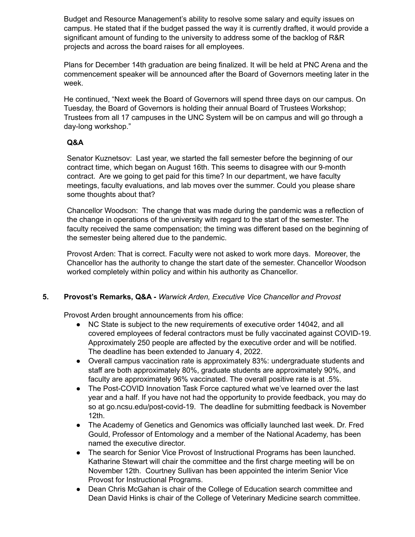Budget and Resource Management's ability to resolve some salary and equity issues on campus. He stated that if the budget passed the way it is currently drafted, it would provide a significant amount of funding to the university to address some of the backlog of R&R projects and across the board raises for all employees.

Plans for December 14th graduation are being finalized. It will be held at PNC Arena and the commencement speaker will be announced after the Board of Governors meeting later in the week.

He continued, "Next week the Board of Governors will spend three days on our campus. On Tuesday, the Board of Governors is holding their annual Board of Trustees Workshop; Trustees from all 17 campuses in the UNC System will be on campus and will go through a day-long workshop."

# **Q&A**

Senator Kuznetsov: Last year, we started the fall semester before the beginning of our contract time, which began on August 16th. This seems to disagree with our 9-month contract. Are we going to get paid for this time? In our department, we have faculty meetings, faculty evaluations, and lab moves over the summer. Could you please share some thoughts about that?

Chancellor Woodson: The change that was made during the pandemic was a reflection of the change in operations of the university with regard to the start of the semester. The faculty received the same compensation; the timing was different based on the beginning of the semester being altered due to the pandemic.

Provost Arden: That is correct. Faculty were not asked to work more days. Moreover, the Chancellor has the authority to change the start date of the semester. Chancellor Woodson worked completely within policy and within his authority as Chancellor.

# **5. Provost's Remarks, Q&A -** *Warwick Arden, Executive Vice Chancellor and Provost*

Provost Arden brought announcements from his office:

- NC State is subject to the new requirements of executive order 14042, and all covered employees of federal contractors must be fully vaccinated against COVID-19. Approximately 250 people are affected by the executive order and will be notified. The deadline has been extended to January 4, 2022.
- Overall campus vaccination rate is approximately 83%: undergraduate students and staff are both approximately 80%, graduate students are approximately 90%, and faculty are approximately 96% vaccinated. The overall positive rate is at .5%.
- The Post-COVID Innovation Task Force captured what we've learned over the last year and a half. If you have not had the opportunity to provide feedback, you may do so at go.ncsu.edu/post-covid-19. The deadline for submitting feedback is November 12th.
- The Academy of Genetics and Genomics was officially launched last week. Dr. Fred Gould, Professor of Entomology and a member of the National Academy, has been named the executive director.
- The search for Senior Vice Provost of Instructional Programs has been launched. Katharine Stewart will chair the committee and the first charge meeting will be on November 12th. Courtney Sullivan has been appointed the interim Senior Vice Provost for Instructional Programs.
- Dean Chris McGahan is chair of the College of Education search committee and Dean David Hinks is chair of the College of Veterinary Medicine search committee.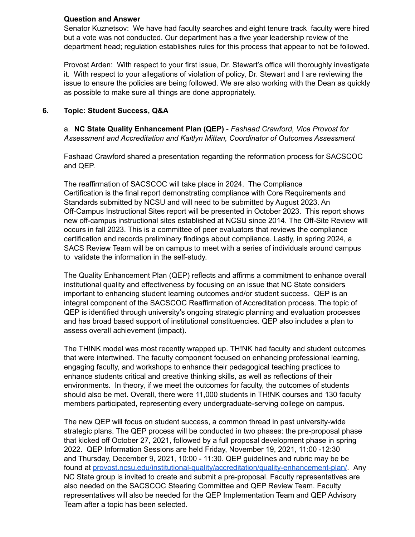### **Question and Answer**

Senator Kuznetsov: We have had faculty searches and eight tenure track faculty were hired but a vote was not conducted. Our department has a five year leadership review of the department head; regulation establishes rules for this process that appear to not be followed.

Provost Arden: With respect to your first issue, Dr. Stewart's office will thoroughly investigate it. With respect to your allegations of violation of policy, Dr. Stewart and I are reviewing the issue to ensure the policies are being followed. We are also working with the Dean as quickly as possible to make sure all things are done appropriately.

### **6. Topic: Student Success, Q&A**

a. **NC State Quality Enhancement Plan (QEP)** - *Fashaad Crawford, Vice Provost for Assessment and Accreditation and Kaitlyn Mittan, Coordinator of Outcomes Assessment*

Fashaad Crawford shared a presentation regarding the reformation process for SACSCOC and QEP.

The reaffirmation of SACSCOC will take place in 2024. The Compliance Certification is the final report demonstrating compliance with Core Requirements and Standards submitted by NCSU and will need to be submitted by August 2023. An Off-Campus Instructional Sites report will be presented in October 2023. This report shows new off-campus instructional sites established at NCSU since 2014. The Off-Site Review will occurs in fall 2023. This is a committee of peer evaluators that reviews the compliance certification and records preliminary findings about compliance. Lastly, in spring 2024, a SACS Review Team will be on campus to meet with a series of individuals around campus to validate the information in the self-study.

The Quality Enhancement Plan (QEP) reflects and affirms a commitment to enhance overall institutional quality and effectiveness by focusing on an issue that NC State considers important to enhancing student learning outcomes and/or student success. QEP is an integral component of the SACSCOC Reaffirmation of Accreditation process. The topic of QEP is identified through university's ongoing strategic planning and evaluation processes and has broad based support of institutional constituencies. QEP also includes a plan to assess overall achievement (impact).

The TH!NK model was most recently wrapped up. TH!NK had faculty and student outcomes that were intertwined. The faculty component focused on enhancing professional learning, engaging faculty, and workshops to enhance their pedagogical teaching practices to enhance students critical and creative thinking skills, as well as reflections of their environments. In theory, if we meet the outcomes for faculty, the outcomes of students should also be met. Overall, there were 11,000 students in TH!NK courses and 130 faculty members participated, representing every undergraduate-serving college on campus.

The new QEP will focus on student success, a common thread in past university-wide strategic plans. The QEP process will be conducted in two phases: the pre-proposal phase that kicked off October 27, 2021, followed by a full proposal development phase in spring 2022. QEP Information Sessions are held Friday, November 19, 2021, 11:00 -12:30 and Thursday, December 9, 2021, 10:00 - 11:30. QEP guidelines and rubric may be be found at [provost.ncsu.edu/institutional-quality/accreditation/quality-enhancement-plan/](https://provost.ncsu.edu/institutional-quality/accreditation/quality-enhancement-plan/). Any NC State group is invited to create and submit a pre-proposal. Faculty representatives are also needed on the SACSCOC Steering Committee and QEP Review Team. Faculty representatives will also be needed for the QEP Implementation Team and QEP Advisory Team after a topic has been selected.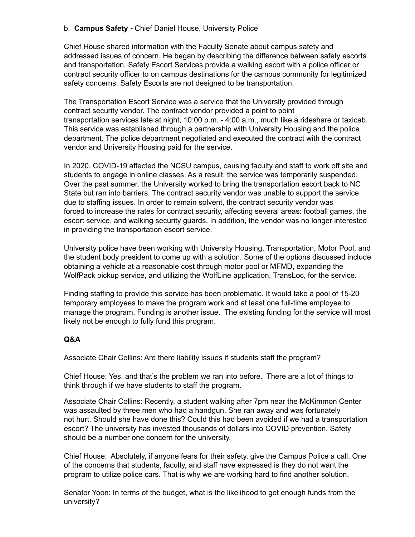## b. **Campus Safety -** Chief Daniel House, University Police

Chief House shared information with the Faculty Senate about campus safety and addressed issues of concern. He began by describing the difference between safety escorts and transportation. Safety Escort Services provide a walking escort with a police officer or contract security officer to on campus destinations for the campus community for legitimized safety concerns. Safety Escorts are not designed to be transportation.

The Transportation Escort Service was a service that the University provided through contract security vendor. The contract vendor provided a point to point transportation services late at night, 10:00 p.m. - 4:00 a.m., much like a rideshare or taxicab. This service was established through a partnership with University Housing and the police department. The police department negotiated and executed the contract with the contract vendor and University Housing paid for the service.

In 2020, COVID-19 affected the NCSU campus, causing faculty and staff to work off site and students to engage in online classes. As a result, the service was temporarily suspended. Over the past summer, the University worked to bring the transportation escort back to NC State but ran into barriers. The contract security vendor was unable to support the service due to staffing issues. In order to remain solvent, the contract security vendor was forced to increase the rates for contract security, affecting several areas: football games, the escort service, and walking security guards. In addition, the vendor was no longer interested in providing the transportation escort service.

University police have been working with University Housing, Transportation, Motor Pool, and the student body president to come up with a solution. Some of the options discussed include obtaining a vehicle at a reasonable cost through motor pool or MFMD, expanding the WolfPack pickup service, and utilizing the WolfLine application, TransLoc, for the service.

Finding staffing to provide this service has been problematic. It would take a pool of 15-20 temporary employees to make the program work and at least one full-time employee to manage the program. Funding is another issue. The existing funding for the service will most likely not be enough to fully fund this program.

# **Q&A**

Associate Chair Collins: Are there liability issues if students staff the program?

Chief House: Yes, and that's the problem we ran into before. There are a lot of things to think through if we have students to staff the program.

Associate Chair Collins: Recently, a student walking after 7pm near the McKimmon Center was assaulted by three men who had a handgun. She ran away and was fortunately not hurt. Should she have done this? Could this had been avoided if we had a transportation escort? The university has invested thousands of dollars into COVID prevention. Safety should be a number one concern for the university.

Chief House: Absolutely, if anyone fears for their safety, give the Campus Police a call. One of the concerns that students, faculty, and staff have expressed is they do not want the program to utilize police cars. That is why we are working hard to find another solution.

Senator Yoon: In terms of the budget, what is the likelihood to get enough funds from the university?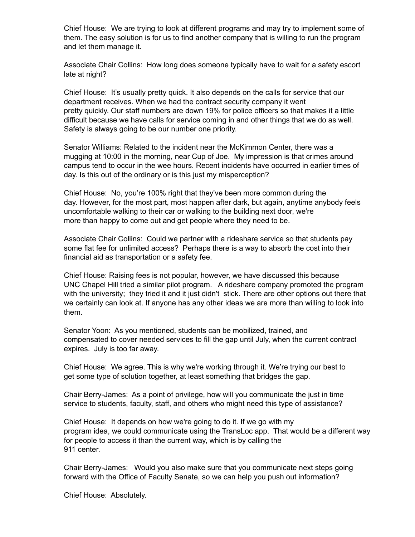Chief House: We are trying to look at different programs and may try to implement some of them. The easy solution is for us to find another company that is willing to run the program and let them manage it.

Associate Chair Collins: How long does someone typically have to wait for a safety escort late at night?

Chief House: It's usually pretty quick. It also depends on the calls for service that our department receives. When we had the contract security company it went pretty quickly. Our staff numbers are down 19% for police officers so that makes it a little difficult because we have calls for service coming in and other things that we do as well. Safety is always going to be our number one priority.

Senator Williams: Related to the incident near the McKimmon Center, there was a mugging at 10:00 in the morning, near Cup of Joe. My impression is that crimes around campus tend to occur in the wee hours. Recent incidents have occurred in earlier times of day. Is this out of the ordinary or is this just my misperception?

Chief House: No, you're 100% right that they've been more common during the day. However, for the most part, most happen after dark, but again, anytime anybody feels uncomfortable walking to their car or walking to the building next door, we're more than happy to come out and get people where they need to be.

Associate Chair Collins: Could we partner with a rideshare service so that students pay some flat fee for unlimited access? Perhaps there is a way to absorb the cost into their financial aid as transportation or a safety fee.

Chief House: Raising fees is not popular, however, we have discussed this because UNC Chapel Hill tried a similar pilot program. A rideshare company promoted the program with the university; they tried it and it just didn't stick. There are other options out there that we certainly can look at. If anyone has any other ideas we are more than willing to look into them.

Senator Yoon: As you mentioned, students can be mobilized, trained, and compensated to cover needed services to fill the gap until July, when the current contract expires. July is too far away.

Chief House: We agree. This is why we're working through it. We're trying our best to get some type of solution together, at least something that bridges the gap.

Chair Berry-James: As a point of privilege, how will you communicate the just in time service to students, faculty, staff, and others who might need this type of assistance?

Chief House: It depends on how we're going to do it. If we go with my program idea, we could communicate using the TransLoc app. That would be a different way for people to access it than the current way, which is by calling the 911 center.

Chair Berry-James: Would you also make sure that you communicate next steps going forward with the Office of Faculty Senate, so we can help you push out information?

Chief House: Absolutely.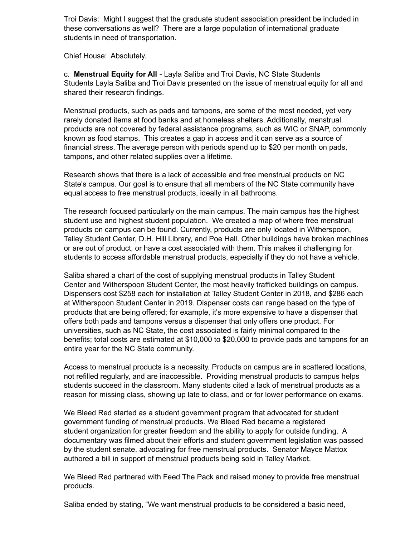Troi Davis: Might I suggest that the graduate student association president be included in these conversations as well? There are a large population of international graduate students in need of transportation.

Chief House: Absolutely.

c. **Menstrual Equity for All** - Layla Saliba and Troi Davis, NC State Students Students Layla Saliba and Troi Davis presented on the issue of menstrual equity for all and shared their research findings.

Menstrual products, such as pads and tampons, are some of the most needed, yet very rarely donated items at food banks and at homeless shelters. Additionally, menstrual products are not covered by federal assistance programs, such as WIC or SNAP, commonly known as food stamps. This creates a gap in access and it can serve as a source of financial stress. The average person with periods spend up to \$20 per month on pads, tampons, and other related supplies over a lifetime.

Research shows that there is a lack of accessible and free menstrual products on NC State's campus. Our goal is to ensure that all members of the NC State community have equal access to free menstrual products, ideally in all bathrooms.

The research focused particularly on the main campus. The main campus has the highest student use and highest student population. We created a map of where free menstrual products on campus can be found. Currently, products are only located in Witherspoon, Talley Student Center, D.H. Hill Library, and Poe Hall. Other buildings have broken machines or are out of product, or have a cost associated with them. This makes it challenging for students to access affordable menstrual products, especially if they do not have a vehicle.

Saliba shared a chart of the cost of supplying menstrual products in Talley Student Center and Witherspoon Student Center, the most heavily trafficked buildings on campus. Dispensers cost \$258 each for installation at Talley Student Center in 2018, and \$286 each at Witherspoon Student Center in 2019. Dispenser costs can range based on the type of products that are being offered; for example, it's more expensive to have a dispenser that offers both pads and tampons versus a dispenser that only offers one product. For universities, such as NC State, the cost associated is fairly minimal compared to the benefits; total costs are estimated at \$10,000 to \$20,000 to provide pads and tampons for an entire year for the NC State community.

Access to menstrual products is a necessity. Products on campus are in scattered locations, not refilled regularly, and are inaccessible. Providing menstrual products to campus helps students succeed in the classroom. Many students cited a lack of menstrual products as a reason for missing class, showing up late to class, and or for lower performance on exams.

We Bleed Red started as a student government program that advocated for student government funding of menstrual products. We Bleed Red became a registered student organization for greater freedom and the ability to apply for outside funding. A documentary was filmed about their efforts and student government legislation was passed by the student senate, advocating for free menstrual products. Senator Mayce Mattox authored a bill in support of menstrual products being sold in Talley Market.

We Bleed Red partnered with Feed The Pack and raised money to provide free menstrual products.

Saliba ended by stating, "We want menstrual products to be considered a basic need,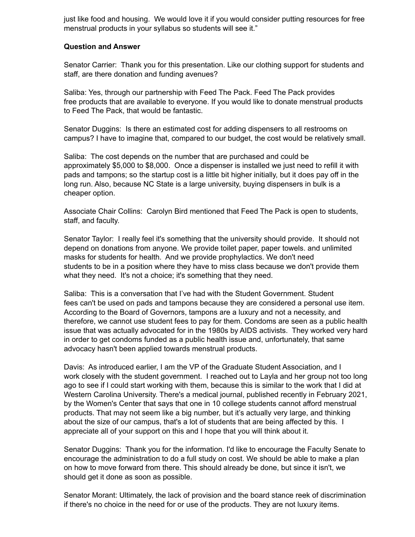just like food and housing. We would love it if you would consider putting resources for free menstrual products in your syllabus so students will see it."

#### **Question and Answer**

Senator Carrier: Thank you for this presentation. Like our clothing support for students and staff, are there donation and funding avenues?

Saliba: Yes, through our partnership with Feed The Pack. Feed The Pack provides free products that are available to everyone. If you would like to donate menstrual products to Feed The Pack, that would be fantastic.

Senator Duggins: Is there an estimated cost for adding dispensers to all restrooms on campus? I have to imagine that, compared to our budget, the cost would be relatively small.

Saliba: The cost depends on the number that are purchased and could be approximately \$5,000 to \$8,000. Once a dispenser is installed we just need to refill it with pads and tampons; so the startup cost is a little bit higher initially, but it does pay off in the long run. Also, because NC State is a large university, buying dispensers in bulk is a cheaper option.

Associate Chair Collins: Carolyn Bird mentioned that Feed The Pack is open to students, staff, and faculty.

Senator Taylor: I really feel it's something that the university should provide. It should not depend on donations from anyone. We provide toilet paper, paper towels. and unlimited masks for students for health. And we provide prophylactics. We don't need students to be in a position where they have to miss class because we don't provide them what they need. It's not a choice; it's something that they need.

Saliba: This is a conversation that I've had with the Student Government. Student fees can't be used on pads and tampons because they are considered a personal use item. According to the Board of Governors, tampons are a luxury and not a necessity, and therefore, we cannot use student fees to pay for them. Condoms are seen as a public health issue that was actually advocated for in the 1980s by AIDS activists. They worked very hard in order to get condoms funded as a public health issue and, unfortunately, that same advocacy hasn't been applied towards menstrual products.

Davis: As introduced earlier, I am the VP of the Graduate Student Association, and I work closely with the student government. I reached out to Layla and her group not too long ago to see if I could start working with them, because this is similar to the work that I did at Western Carolina University. There's a medical journal, published recently in February 2021, by the Women's Center that says that one in 10 college students cannot afford menstrual products. That may not seem like a big number, but it's actually very large, and thinking about the size of our campus, that's a lot of students that are being affected by this. I appreciate all of your support on this and I hope that you will think about it.

Senator Duggins: Thank you for the information. I'd like to encourage the Faculty Senate to encourage the administration to do a full study on cost. We should be able to make a plan on how to move forward from there. This should already be done, but since it isn't, we should get it done as soon as possible.

Senator Morant: Ultimately, the lack of provision and the board stance reek of discrimination if there's no choice in the need for or use of the products. They are not luxury items.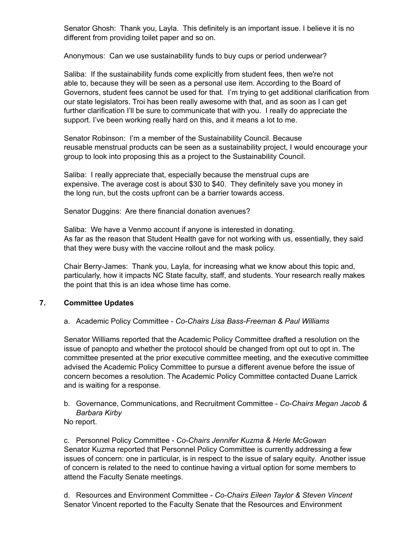Senator Ghosh: Thank you, Layla. This definitely is an important issue. I believe it is no different from providing toilet paper and so on.

Anonymous: Can we use sustainability funds to buy cups or period underwear?

Saliba: If the sustainability funds come explicitly from student fees, then we're not able to, because they will be seen as a personal use item. According to the Board of Governors, student fees cannot be used for that. I'm trying to get additional clarification from our state legislators. Troi has been really awesome with that, and as soon as I can get further clarification I'll be sure to communicate that with you. I really do appreciate the support. I've been working really hard on this, and it means a lot to me.

Senator Robinson: I'm a member of the Sustainability Council. Because reusable menstrual products can be seen as a sustainability project, I would encourage your group to look into proposing this as a project to the Sustainability Council.

Saliba: I really appreciate that, especially because the menstrual cups are expensive. The average cost is about \$30 to \$40. They definitely save you money in the long run, but the costs upfront can be a barrier towards access.

Senator Duggins: Are there financial donation avenues?

Saliba: We have a Venmo account if anyone is interested in donating. As far as the reason that Student Health gave for not working with us, essentially, they said that they were busy with the vaccine rollout and the mask policy.

Chair Berry-James: Thank you, Layla, for increasing what we know about this topic and, particularly, how it impacts NC State faculty, staff, and students. Your research really makes the point that this is an idea whose time has come.

### **7. Committee Updates**

### a. Academic Policy Committee - *Co-Chairs Lisa Bass-Freeman & Paul Williams*

Senator Williams reported that the Academic Policy Committee drafted a resolution on the issue of panopto and whether the protocol should be changed from opt out to opt in. The committee presented at the prior executive committee meeting, and the executive committee advised the Academic Policy Committee to pursue a different avenue before the issue of concern becomes a resolution. The Academic Policy Committee contacted Duane Larrick and is waiting for a response.

- b. Governance, Communications, and Recruitment Committee *Co-Chairs Megan Jacob & Barbara Kirby*
- No report.

c. Personnel Policy Committee - *Co-Chairs Jennifer Kuzma & Herle McGowan* Senator Kuzma reported that Personnel Policy Committee is currently addressing a few issues of concern: one in particular, is in respect to the issue of salary equity. Another issue of concern is related to the need to continue having a virtual option for some members to attend the Faculty Senate meetings.

d. Resources and Environment Committee - *Co-Chairs Eileen Taylor & Steven Vincent* Senator Vincent reported to the Faculty Senate that the Resources and Environment